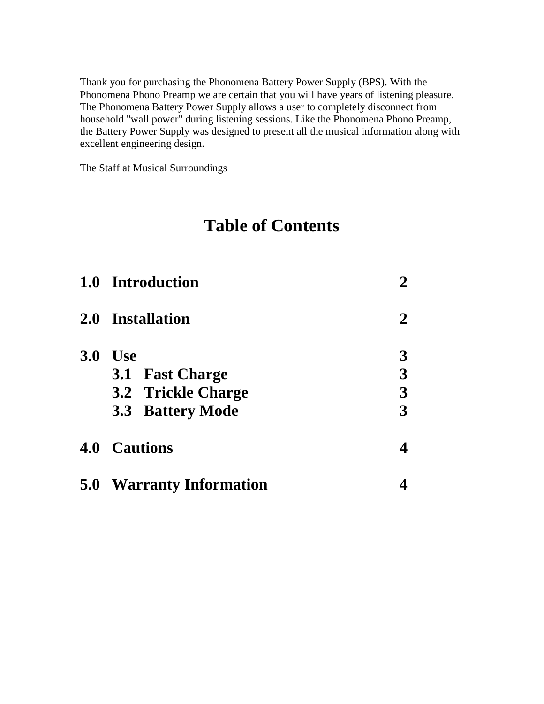Thank you for purchasing the Phonomena Battery Power Supply (BPS). With the Phonomena Phono Preamp we are certain that you will have years of listening pleasure. The Phonomena Battery Power Supply allows a user to completely disconnect from household "wall power" during listening sessions. Like the Phonomena Phono Preamp, the Battery Power Supply was designed to present all the musical information along with excellent engineering design.

The Staff at Musical Surroundings

# **Table of Contents**

|            | 1.0 Introduction                | $\mathbf{2}$ |
|------------|---------------------------------|--------------|
|            | 2.0 Installation                | 2            |
| <b>3.0</b> | U <sub>se</sub>                 | 3            |
|            | 3.1 Fast Charge                 |              |
|            | <b>3.2 Trickle Charge</b>       | 3            |
|            | <b>3.3 Battery Mode</b>         | 3            |
|            | <b>4.0 Cautions</b>             |              |
|            | <b>5.0 Warranty Information</b> |              |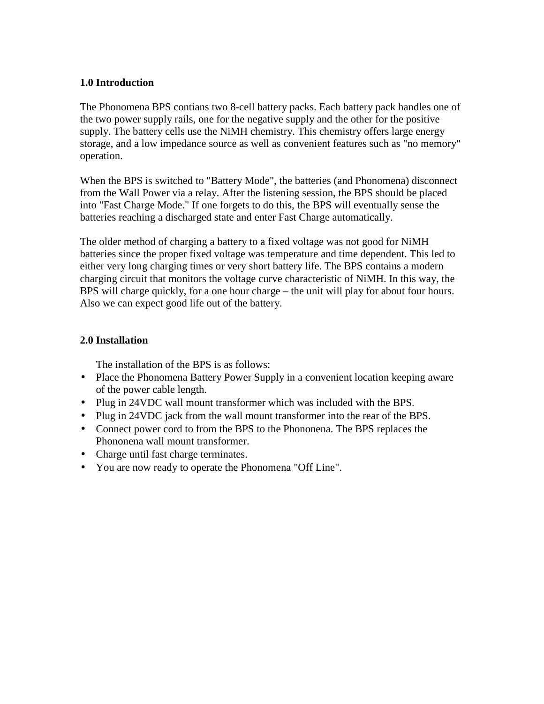## **1.0 Introduction**

The Phonomena BPS contians two 8-cell battery packs. Each battery pack handles one of the two power supply rails, one for the negative supply and the other for the positive supply. The battery cells use the NiMH chemistry. This chemistry offers large energy storage, and a low impedance source as well as convenient features such as "no memory" operation.

When the BPS is switched to "Battery Mode", the batteries (and Phonomena) disconnect from the Wall Power via a relay. After the listening session, the BPS should be placed into "Fast Charge Mode." If one forgets to do this, the BPS will eventually sense the batteries reaching a discharged state and enter Fast Charge automatically.

The older method of charging a battery to a fixed voltage was not good for NiMH batteries since the proper fixed voltage was temperature and time dependent. This led to either very long charging times or very short battery life. The BPS contains a modern charging circuit that monitors the voltage curve characteristic of NiMH. In this way, the BPS will charge quickly, for a one hour charge – the unit will play for about four hours. Also we can expect good life out of the battery.

## **2.0 Installation**

The installation of the BPS is as follows:

- Place the Phonomena Battery Power Supply in a convenient location keeping aware of the power cable length.
- Plug in 24VDC wall mount transformer which was included with the BPS.
- Plug in 24VDC jack from the wall mount transformer into the rear of the BPS.
- Connect power cord to from the BPS to the Phononena. The BPS replaces the Phononena wall mount transformer.
- Charge until fast charge terminates.
- You are now ready to operate the Phonomena "Off Line".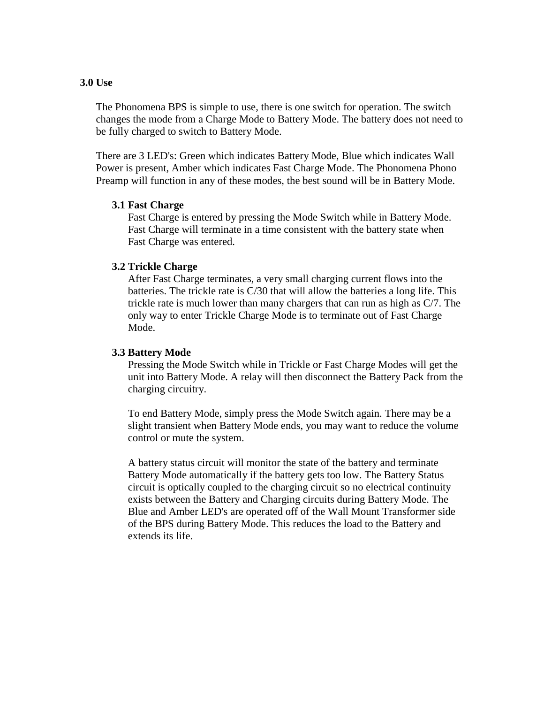#### **3.0 Use**

The Phonomena BPS is simple to use, there is one switch for operation. The switch changes the mode from a Charge Mode to Battery Mode. The battery does not need to be fully charged to switch to Battery Mode.

There are 3 LED's: Green which indicates Battery Mode, Blue which indicates Wall Power is present, Amber which indicates Fast Charge Mode. The Phonomena Phono Preamp will function in any of these modes, the best sound will be in Battery Mode.

#### **3.1 Fast Charge**

Fast Charge is entered by pressing the Mode Switch while in Battery Mode. Fast Charge will terminate in a time consistent with the battery state when Fast Charge was entered.

#### **3.2 Trickle Charge**

After Fast Charge terminates, a very small charging current flows into the batteries. The trickle rate is C/30 that will allow the batteries a long life. This trickle rate is much lower than many chargers that can run as high as C/7. The only way to enter Trickle Charge Mode is to terminate out of Fast Charge Mode.

#### **3.3 Battery Mode**

Pressing the Mode Switch while in Trickle or Fast Charge Modes will get the unit into Battery Mode. A relay will then disconnect the Battery Pack from the charging circuitry.

To end Battery Mode, simply press the Mode Switch again. There may be a slight transient when Battery Mode ends, you may want to reduce the volume control or mute the system.

A battery status circuit will monitor the state of the battery and terminate Battery Mode automatically if the battery gets too low. The Battery Status circuit is optically coupled to the charging circuit so no electrical continuity exists between the Battery and Charging circuits during Battery Mode. The Blue and Amber LED's are operated off of the Wall Mount Transformer side of the BPS during Battery Mode. This reduces the load to the Battery and extends its life.